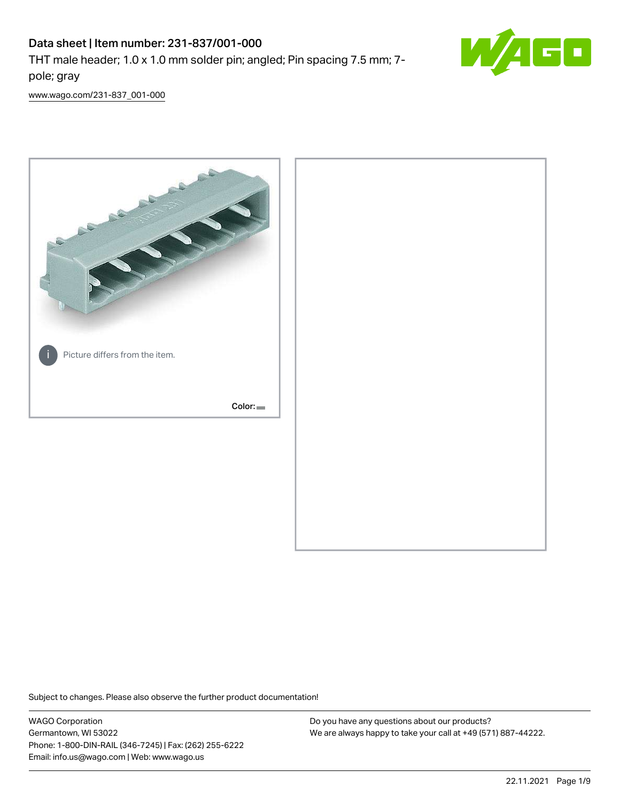# Data sheet | Item number: 231-837/001-000

THT male header; 1.0 x 1.0 mm solder pin; angled; Pin spacing 7.5 mm; 7 pole; gray



[www.wago.com/231-837\\_001-000](http://www.wago.com/231-837_001-000)



Subject to changes. Please also observe the further product documentation!

WAGO Corporation Germantown, WI 53022 Phone: 1-800-DIN-RAIL (346-7245) | Fax: (262) 255-6222 Email: info.us@wago.com | Web: www.wago.us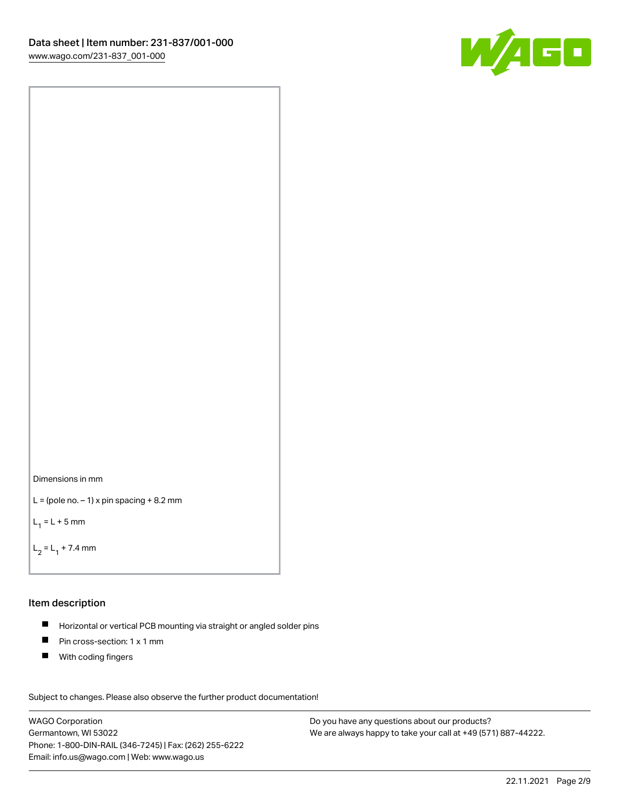



```
L = (pole no. -1) x pin spacing +8.2 mm
```
 $L_1 = L + 5$  mm

```
L_2 = L_1 + 7.4 mm
```
#### Item description

- Horizontal or vertical PCB mounting via straight or angled solder pins  $\blacksquare$
- $\blacksquare$ Pin cross-section: 1 x 1 mm
- $\blacksquare$ With coding fingers

Subject to changes. Please also observe the further product documentation! Data

WAGO Corporation Germantown, WI 53022 Phone: 1-800-DIN-RAIL (346-7245) | Fax: (262) 255-6222 Email: info.us@wago.com | Web: www.wago.us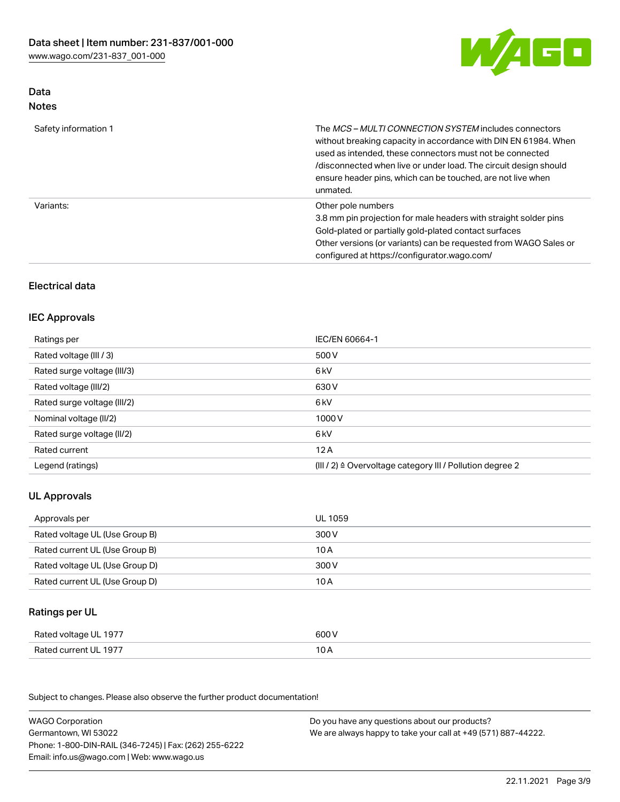

## Data Notes

| Safety information 1 | The <i>MCS – MULTI CONNECTION SYSTEM</i> includes connectors<br>without breaking capacity in accordance with DIN EN 61984. When<br>used as intended, these connectors must not be connected<br>/disconnected when live or under load. The circuit design should<br>ensure header pins, which can be touched, are not live when<br>unmated. |
|----------------------|--------------------------------------------------------------------------------------------------------------------------------------------------------------------------------------------------------------------------------------------------------------------------------------------------------------------------------------------|
| Variants:            | Other pole numbers<br>3.8 mm pin projection for male headers with straight solder pins<br>Gold-plated or partially gold-plated contact surfaces<br>Other versions (or variants) can be requested from WAGO Sales or<br>configured at https://configurator.wago.com/                                                                        |

# Electrical data

# IEC Approvals

| Ratings per                 | IEC/EN 60664-1                                                        |
|-----------------------------|-----------------------------------------------------------------------|
| Rated voltage (III / 3)     | 500 V                                                                 |
| Rated surge voltage (III/3) | 6 <sub>k</sub> V                                                      |
| Rated voltage (III/2)       | 630 V                                                                 |
| Rated surge voltage (III/2) | 6 kV                                                                  |
| Nominal voltage (II/2)      | 1000V                                                                 |
| Rated surge voltage (II/2)  | 6 kV                                                                  |
| Rated current               | 12A                                                                   |
| Legend (ratings)            | $(III / 2)$ $\triangle$ Overvoltage category III / Pollution degree 2 |

# UL Approvals

| Approvals per                  | UL 1059 |
|--------------------------------|---------|
| Rated voltage UL (Use Group B) | 300 V   |
| Rated current UL (Use Group B) | 10 A    |
| Rated voltage UL (Use Group D) | 300 V   |
| Rated current UL (Use Group D) | 10 A    |

## Ratings per UL

| Rated voltage UL 1977 | 600 V |
|-----------------------|-------|
| Rated current UL 1977 | 10 A  |

| <b>WAGO Corporation</b>                                | Do you have any questions about our products?                 |
|--------------------------------------------------------|---------------------------------------------------------------|
| Germantown, WI 53022                                   | We are always happy to take your call at +49 (571) 887-44222. |
| Phone: 1-800-DIN-RAIL (346-7245)   Fax: (262) 255-6222 |                                                               |
| Email: info.us@wago.com   Web: www.wago.us             |                                                               |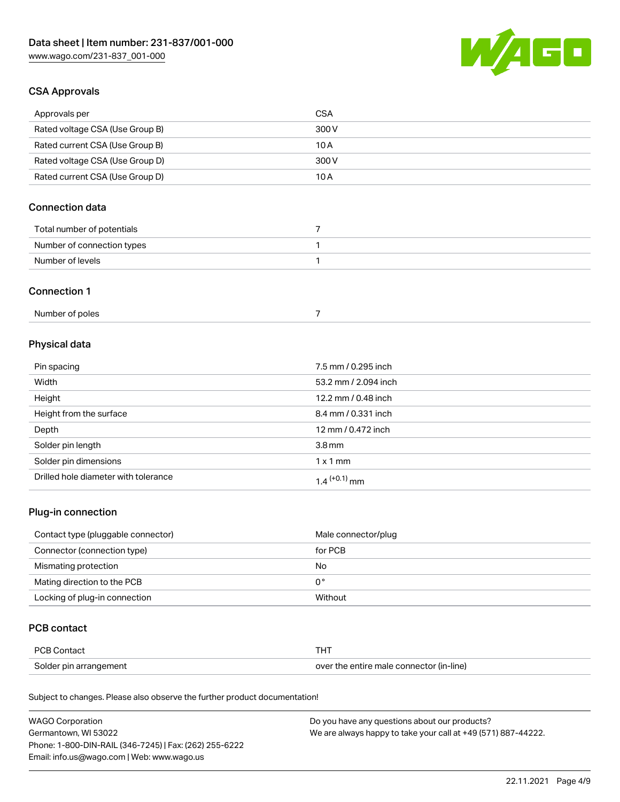

## CSA Approvals

| Approvals per                   | CSA   |
|---------------------------------|-------|
| Rated voltage CSA (Use Group B) | 300 V |
| Rated current CSA (Use Group B) | 10 A  |
| Rated voltage CSA (Use Group D) | 300 V |
| Rated current CSA (Use Group D) | 10 A  |

# Connection data

| Total number of potentials |  |
|----------------------------|--|
| Number of connection types |  |
| Number of levels           |  |

#### Connection 1

| Number of poles |  |
|-----------------|--|
|-----------------|--|

# Physical data

| Pin spacing                          | 7.5 mm / 0.295 inch  |
|--------------------------------------|----------------------|
| Width                                | 53.2 mm / 2.094 inch |
| Height                               | 12.2 mm / 0.48 inch  |
| Height from the surface              | 8.4 mm / 0.331 inch  |
| Depth                                | 12 mm / 0.472 inch   |
| Solder pin length                    | 3.8 <sub>mm</sub>    |
| Solder pin dimensions                | $1 \times 1$ mm      |
| Drilled hole diameter with tolerance | $1.4$ $(+0.1)$ mm    |

# Plug-in connection

| Contact type (pluggable connector) | Male connector/plug |
|------------------------------------|---------------------|
| Connector (connection type)        | for PCB             |
| Mismating protection               | No                  |
| Mating direction to the PCB        | 0°                  |
| Locking of plug-in connection      | Without             |

## PCB contact

| PCB Contact            |                                          |
|------------------------|------------------------------------------|
| Solder pin arrangement | over the entire male connector (in-line) |

| <b>WAGO Corporation</b>                                | Do you have any questions about our products?                 |
|--------------------------------------------------------|---------------------------------------------------------------|
| Germantown, WI 53022                                   | We are always happy to take your call at +49 (571) 887-44222. |
| Phone: 1-800-DIN-RAIL (346-7245)   Fax: (262) 255-6222 |                                                               |
| Email: info.us@wago.com   Web: www.wago.us             |                                                               |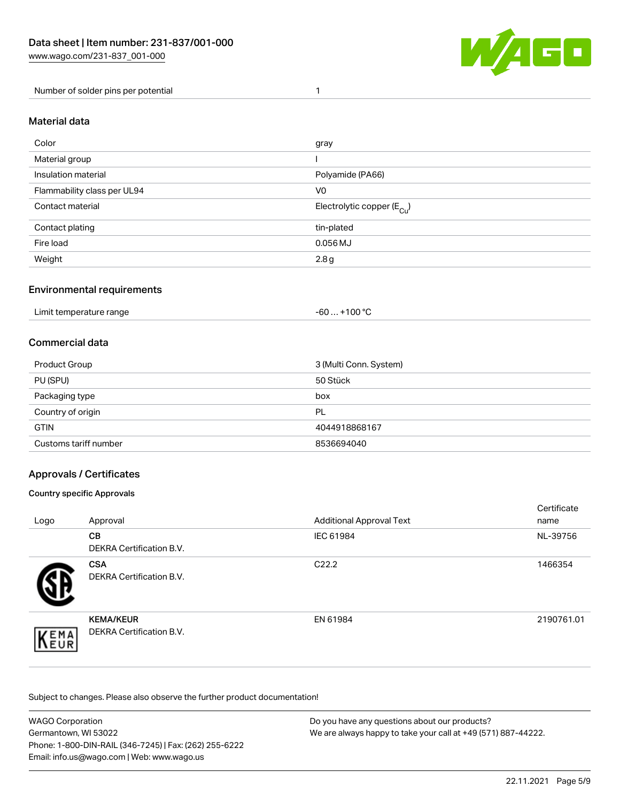

Number of solder pins per potential 1

#### Material data

| Color                       | gray                                    |
|-----------------------------|-----------------------------------------|
| Material group              |                                         |
| Insulation material         | Polyamide (PA66)                        |
| Flammability class per UL94 | V <sub>0</sub>                          |
| Contact material            | Electrolytic copper ( $E_{\text{Cu}}$ ) |
| Contact plating             | tin-plated                              |
| Fire load                   | $0.056$ MJ                              |
| Weight                      | 2.8g                                    |

## Environmental requirements

Limit temperature range  $-60... +100$  °C

### Commercial data

| Product Group         | 3 (Multi Conn. System) |
|-----------------------|------------------------|
| PU (SPU)              | 50 Stück               |
| Packaging type        | box                    |
| Country of origin     | PL                     |
| <b>GTIN</b>           | 4044918868167          |
| Customs tariff number | 8536694040             |

## Approvals / Certificates

#### Country specific Approvals

| Logo                | Approval                                            | <b>Additional Approval Text</b> | Certificate<br>name |
|---------------------|-----------------------------------------------------|---------------------------------|---------------------|
|                     | <b>CB</b><br><b>DEKRA Certification B.V.</b>        | IEC 61984                       | NL-39756            |
|                     | <b>CSA</b><br>DEKRA Certification B.V.              | C <sub>22.2</sub>               | 1466354             |
| EMA<br><b>INEUR</b> | <b>KEMA/KEUR</b><br><b>DEKRA Certification B.V.</b> | EN 61984                        | 2190761.01          |

| WAGO Corporation                                       | Do you have any questions about our products?                 |
|--------------------------------------------------------|---------------------------------------------------------------|
| Germantown, WI 53022                                   | We are always happy to take your call at +49 (571) 887-44222. |
| Phone: 1-800-DIN-RAIL (346-7245)   Fax: (262) 255-6222 |                                                               |
| Email: info.us@wago.com   Web: www.wago.us             |                                                               |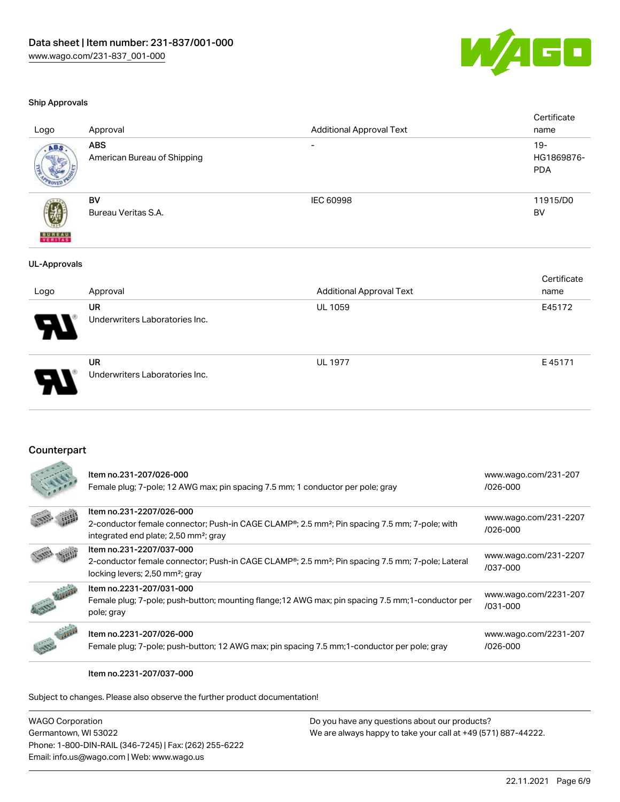Underwriters Laboratories Inc.



#### Ship Approvals

|                          | UR                                        | <b>UL 1059</b>                  | E45172                             |
|--------------------------|-------------------------------------------|---------------------------------|------------------------------------|
| Logo                     | Approval                                  | <b>Additional Approval Text</b> | name                               |
|                          |                                           |                                 | Certificate                        |
| <b>UL-Approvals</b>      |                                           |                                 |                                    |
| <b>BUREAU</b><br>VERITAS | Bureau Veritas S.A.                       |                                 | <b>BV</b>                          |
|                          | BV                                        | IEC 60998                       | 11915/D0                           |
| ABS                      | <b>ABS</b><br>American Bureau of Shipping | $\overline{\phantom{0}}$        | $19 -$<br>HG1869876-<br><b>PDA</b> |
| Logo                     | Approval                                  | <b>Additional Approval Text</b> | Certificate<br>name                |

|                | <b>UR</b>                      | <b>UL 1977</b> | E45171 |
|----------------|--------------------------------|----------------|--------|
| - 1<br>a.<br>ı | Underwriters Laboratories Inc. |                |        |

## Counterpart

| Item no.231-207/026-000<br>Female plug; 7-pole; 12 AWG max; pin spacing 7.5 mm; 1 conductor per pole; gray                                                                                              | www.wago.com/231-207<br>/026-000      |
|---------------------------------------------------------------------------------------------------------------------------------------------------------------------------------------------------------|---------------------------------------|
| Item no.231-2207/026-000<br>2-conductor female connector; Push-in CAGE CLAMP <sup>®</sup> ; 2.5 mm <sup>2</sup> ; Pin spacing 7.5 mm; 7-pole; with<br>integrated end plate; 2,50 mm <sup>2</sup> ; gray | www.wago.com/231-2207<br>$1026 - 000$ |
| Item no.231-2207/037-000<br>2-conductor female connector; Push-in CAGE CLAMP <sup>®</sup> ; 2.5 mm <sup>2</sup> ; Pin spacing 7.5 mm; 7-pole; Lateral<br>locking levers; 2,50 mm <sup>2</sup> ; gray    | www.wago.com/231-2207<br>/037-000     |
| Item no.2231-207/031-000<br>Female plug; 7-pole; push-button; mounting flange; 12 AWG max; pin spacing 7.5 mm; 1-conductor per<br>pole; gray                                                            | www.wago.com/2231-207<br>/031-000     |
| Item no.2231-207/026-000<br>Female plug; 7-pole; push-button; 12 AWG max; pin spacing 7.5 mm; 1-conductor per pole; gray                                                                                | www.wago.com/2231-207<br>$/026 - 000$ |

Item no.2231-207/037-000

| WAGO Corporation                                       | Do you have any questions about our products?                 |
|--------------------------------------------------------|---------------------------------------------------------------|
| Germantown, WI 53022                                   | We are always happy to take your call at +49 (571) 887-44222. |
| Phone: 1-800-DIN-RAIL (346-7245)   Fax: (262) 255-6222 |                                                               |
| Email: info.us@wago.com   Web: www.wago.us             |                                                               |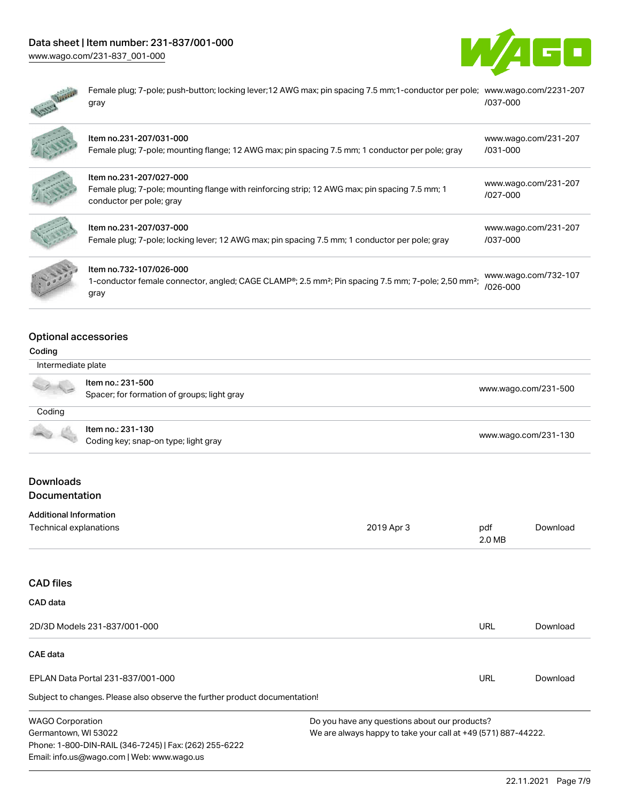# Data sheet | Item number: 231-837/001-000

[www.wago.com/231-837\\_001-000](http://www.wago.com/231-837_001-000)





Female plug; 7-pole; push-button; locking lever;12 AWG max; pin spacing 7.5 mm;1-conductor per pole; [www.wago.com/2231-207](https://www.wago.com/2231-207/037-000) gray [/037-000](https://www.wago.com/2231-207/037-000)

| Item no.231-207/031-000<br>Female plug; 7-pole; mounting flange; 12 AWG max; pin spacing 7.5 mm; 1 conductor per pole; gray                                    | www.wago.com/231-207<br>$/031 - 000$ |
|----------------------------------------------------------------------------------------------------------------------------------------------------------------|--------------------------------------|
| Item no.231-207/027-000<br>Female plug; 7-pole; mounting flange with reinforcing strip; 12 AWG max; pin spacing 7.5 mm; 1<br>conductor per pole; gray          | www.wago.com/231-207<br>$1027 - 000$ |
| Item no.231-207/037-000<br>Female plug; 7-pole; locking lever; 12 AWG max; pin spacing 7.5 mm; 1 conductor per pole; gray                                      | www.wago.com/231-207<br>/037-000     |
| Item no.732-107/026-000<br>1-conductor female connector, angled; CAGE CLAMP®; 2.5 mm <sup>2</sup> ; Pin spacing 7.5 mm; 7-pole; 2,50 mm <sup>2</sup> ;<br>gray | www.wago.com/732-107<br>/026-000     |

# Optional accessories

Phone: 1-800-DIN-RAIL (346-7245) | Fax: (262) 255-6222

Email: info.us@wago.com | Web: www.wago.us

#### Coding

| Intermediate plate                              |                                                                            |                                                                                                                |               |                      |  |
|-------------------------------------------------|----------------------------------------------------------------------------|----------------------------------------------------------------------------------------------------------------|---------------|----------------------|--|
|                                                 | Item no.: 231-500<br>Spacer; for formation of groups; light gray           |                                                                                                                |               | www.wago.com/231-500 |  |
| Coding                                          |                                                                            |                                                                                                                |               |                      |  |
|                                                 | Item no.: 231-130<br>Coding key; snap-on type; light gray                  |                                                                                                                |               | www.wago.com/231-130 |  |
| <b>Downloads</b><br>Documentation               |                                                                            |                                                                                                                |               |                      |  |
| <b>Additional Information</b>                   |                                                                            |                                                                                                                |               |                      |  |
| Technical explanations                          |                                                                            | 2019 Apr 3                                                                                                     | pdf<br>2.0 MB | Download             |  |
| <b>CAD files</b>                                |                                                                            |                                                                                                                |               |                      |  |
| CAD data                                        |                                                                            |                                                                                                                |               |                      |  |
|                                                 | 2D/3D Models 231-837/001-000                                               |                                                                                                                | <b>URL</b>    | Download             |  |
| <b>CAE</b> data                                 |                                                                            |                                                                                                                |               |                      |  |
|                                                 | EPLAN Data Portal 231-837/001-000                                          |                                                                                                                | <b>URL</b>    | Download             |  |
|                                                 | Subject to changes. Please also observe the further product documentation! |                                                                                                                |               |                      |  |
| <b>WAGO Corporation</b><br>Germantown, WI 53022 |                                                                            | Do you have any questions about our products?<br>We are always happy to take your call at +49 (571) 887-44222. |               |                      |  |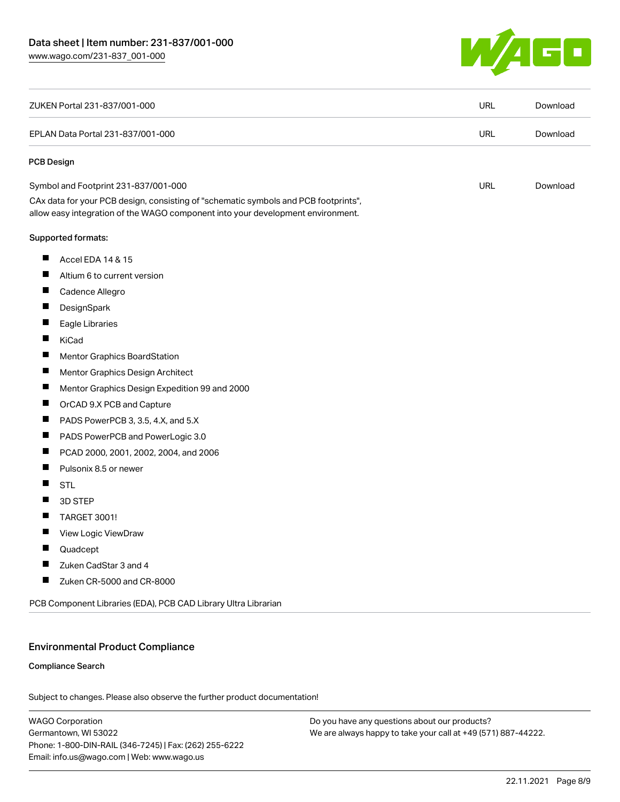

| ZUKEN Portal 231-837/001-000                                                                                                                                           | <b>URL</b> | Download |
|------------------------------------------------------------------------------------------------------------------------------------------------------------------------|------------|----------|
| EPLAN Data Portal 231-837/001-000                                                                                                                                      | <b>URL</b> | Download |
| <b>PCB Design</b>                                                                                                                                                      |            |          |
| Symbol and Footprint 231-837/001-000                                                                                                                                   | <b>URL</b> | Download |
| CAx data for your PCB design, consisting of "schematic symbols and PCB footprints",<br>allow easy integration of the WAGO component into your development environment. |            |          |
| Supported formats:                                                                                                                                                     |            |          |
| ш<br>Accel EDA 14 & 15                                                                                                                                                 |            |          |
| Ш<br>Altium 6 to current version                                                                                                                                       |            |          |
| ш<br>Cadence Allegro                                                                                                                                                   |            |          |
| П<br>DesignSpark                                                                                                                                                       |            |          |
| Eagle Libraries                                                                                                                                                        |            |          |
| Ш<br>KiCad                                                                                                                                                             |            |          |
| Ш<br><b>Mentor Graphics BoardStation</b>                                                                                                                               |            |          |
| ш<br>Mentor Graphics Design Architect                                                                                                                                  |            |          |
| Ш<br>Mentor Graphics Design Expedition 99 and 2000                                                                                                                     |            |          |
| П<br>OrCAD 9.X PCB and Capture                                                                                                                                         |            |          |
| PADS PowerPCB 3, 3.5, 4.X, and 5.X                                                                                                                                     |            |          |
| ш<br>PADS PowerPCB and PowerLogic 3.0                                                                                                                                  |            |          |
| ш<br>PCAD 2000, 2001, 2002, 2004, and 2006                                                                                                                             |            |          |
| Pulsonix 8.5 or newer<br>Ш                                                                                                                                             |            |          |
| Ш<br><b>STL</b>                                                                                                                                                        |            |          |
| H<br>3D STEP                                                                                                                                                           |            |          |
| <b>TARGET 3001!</b>                                                                                                                                                    |            |          |
| ш<br>View Logic ViewDraw                                                                                                                                               |            |          |
| ш<br>Quadcept                                                                                                                                                          |            |          |
| ш<br>Zuken CadStar 3 and 4                                                                                                                                             |            |          |
| ш<br>Zuken CR-5000 and CR-8000                                                                                                                                         |            |          |
| PCB Component Libraries (EDA), PCB CAD Library Ultra Librarian                                                                                                         |            |          |

## Environmental Product Compliance

#### Compliance Search

Subject to changes. Please also observe the further product documentation!

WAGO Corporation Germantown, WI 53022 Phone: 1-800-DIN-RAIL (346-7245) | Fax: (262) 255-6222 Email: info.us@wago.com | Web: www.wago.us